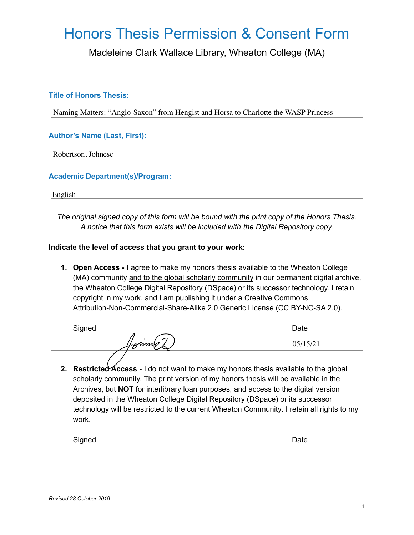# Honors Thesis Permission & Consent Form

Madeleine Clark Wallace Library, Wheaton College (MA)

### **Title of Honors Thesis:**

### **Author's Name (Last, First):**

### **Academic Department(s)/Program:**

*The original signed copy of this form will be bound with the print copy of the Honors Thesis. A notice that this form exists will be included with the Digital Repository copy.*

#### **Indicate the level of access that you grant to your work:**

**1. Open Access -** I agree to make my honors thesis available to the Wheaton College (MA) community and to the global scholarly community in our permanent digital archive, the Wheaton College Digital Repository (DSpace) or its successor technology. I retain copyright in my work, and I am publishing it under a Creative Commons Attribution-Non-Commercial-Share-Alike 2.0 Generic License (CC BY-NC-SA 2.0). Naming Matters: "Anglo-Saxon" from Hengist and Horsa to Charlotte the WASP Princess<br>
uthor's Name (Last, First):<br>
Robertson, Johnese<br>
<br>
English<br>
The original signed copy of this form will be bound with the print copy of t

Signed **Date** 

**2. Restricted Access -** I do not want to make my honors thesis available to the global scholarly community. The print version of my honors thesis will be available in the Archives, but **NOT** for interlibrary loan purposes, and access to the digital version deposited in the Wheaton College Digital Repository (DSpace) or its successor technology will be restricted to the current Wheaton Community. I retain all rights to my work.

Signed **Date**